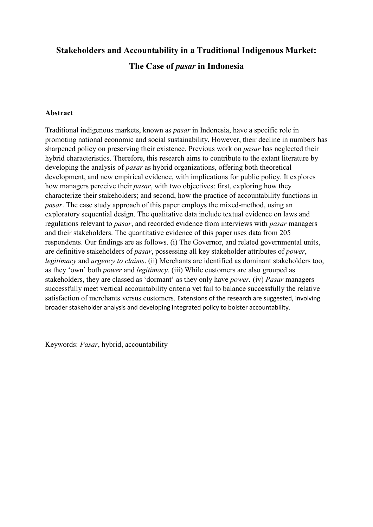# **Stakeholders and Accountability in a Traditional Indigenous Market: The Case of** *pasar* **in Indonesia**

# **Abstract**

Traditional indigenous markets, known as *pasar* in Indonesia, have a specific role in promoting national economic and social sustainability. However, their decline in numbers has sharpened policy on preserving their existence. Previous work on *pasar* has neglected their hybrid characteristics. Therefore, this research aims to contribute to the extant literature by developing the analysis of *pasar* as hybrid organizations, offering both theoretical development, and new empirical evidence, with implications for public policy. It explores how managers perceive their *pasar*, with two objectives: first, exploring how they characterize their stakeholders; and second, how the practice of accountability functions in *pasar*. The case study approach of this paper employs the mixed-method, using an exploratory sequential design. The qualitative data include textual evidence on laws and regulations relevant to *pasar*, and recorded evidence from interviews with *pasar* managers and their stakeholders. The quantitative evidence of this paper uses data from 205 respondents. Our findings are as follows. (i) The Governor, and related governmental units, are definitive stakeholders of *pasar*, possessing all key stakeholder attributes of *power*, *legitimacy* and *urgency to claims*. (ii) Merchants are identified as dominant stakeholders too, as they 'own' both *power* and *legitimacy*. (iii) While customers are also grouped as stakeholders, they are classed as 'dormant' as they only have *power.* (iv) *Pasar* managers successfully meet vertical accountability criteria yet fail to balance successfully the relative satisfaction of merchants versus customers. Extensions of the research are suggested, involving broader stakeholder analysis and developing integrated policy to bolster accountability.

Keywords: *Pasar*, hybrid, accountability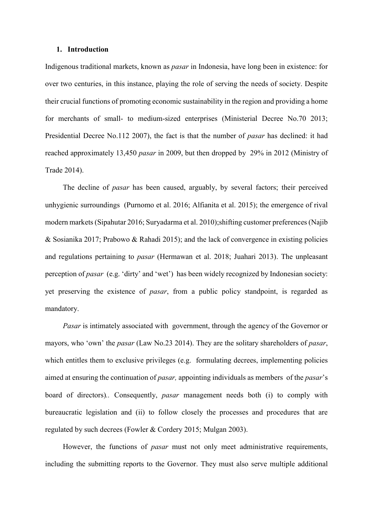#### **1. Introduction**

Indigenous traditional markets, known as *pasar* in Indonesia, have long been in existence: for over two centuries, in this instance, playing the role of serving the needs of society. Despite their crucial functions of promoting economic sustainability in the region and providing a home for merchants of small- to medium-sized enterprises (Ministerial Decree No.70 2013; Presidential Decree No.112 2007), the fact is that the number of *pasar* has declined: it had reached approximately 13,450 *pasar* in 2009, but then dropped by 29% in 2012 (Ministry of Trade 2014).

The decline of *pasar* has been caused, arguably, by several factors; their perceived unhygienic surroundings (Purnomo et al. 2016; Alfianita et al. 2015); the emergence of rival modern markets (Sipahutar 2016; Suryadarma et al. 2010);shifting customer preferences(Najib & Sosianika 2017; Prabowo & Rahadi 2015); and the lack of convergence in existing policies and regulations pertaining to *pasar* (Hermawan et al. 2018; Juahari 2013). The unpleasant perception of *pasar* (e.g. 'dirty' and 'wet') has been widely recognized by Indonesian society: yet preserving the existence of *pasar*, from a public policy standpoint, is regarded as mandatory.

*Pasar* is intimately associated with government, through the agency of the Governor or mayors, who 'own' the *pasar* (Law No.23 2014). They are the solitary shareholders of *pasar*, which entitles them to exclusive privileges (e.g. formulating decrees, implementing policies aimed at ensuring the continuation of *pasar,* appointing individuals as members of the *pasar*'s board of directors)*..* Consequently, *pasar* management needs both (i) to comply with bureaucratic legislation and (ii) to follow closely the processes and procedures that are regulated by such decrees (Fowler & Cordery 2015; Mulgan 2003).

However, the functions of *pasar* must not only meet administrative requirements, including the submitting reports to the Governor. They must also serve multiple additional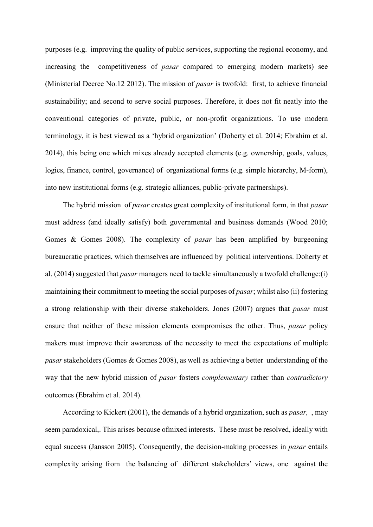purposes (e.g. improving the quality of public services, supporting the regional economy, and increasing the competitiveness of *pasar* compared to emerging modern markets) see (Ministerial Decree No.12 2012). The mission of *pasar* is twofold: first, to achieve financial sustainability; and second to serve social purposes. Therefore, it does not fit neatly into the conventional categories of private, public, or non-profit organizations. To use modern terminology, it is best viewed as a 'hybrid organization' (Doherty et al. 2014; Ebrahim et al. 2014), this being one which mixes already accepted elements (e.g. ownership, goals, values, logics, finance, control, governance) of organizational forms (e.g. simple hierarchy, M-form), into new institutional forms (e.g. strategic alliances, public-private partnerships).

The hybrid mission of *pasar* creates great complexity of institutional form, in that *pasar* must address (and ideally satisfy) both governmental and business demands (Wood 2010; Gomes & Gomes 2008). The complexity of *pasar* has been amplified by burgeoning bureaucratic practices, which themselves are influenced by political interventions. Doherty et al. (2014) suggested that *pasar* managers need to tackle simultaneously a twofold challenge:(i) maintaining their commitment to meeting the social purposes of *pasar*; whilst also (ii) fostering a strong relationship with their diverse stakeholders. Jones (2007) argues that *pasar* must ensure that neither of these mission elements compromises the other. Thus, *pasar* policy makers must improve their awareness of the necessity to meet the expectations of multiple *pasar* stakeholders (Gomes & Gomes 2008), as well as achieving a better understanding of the way that the new hybrid mission of *pasar* fosters *complementary* rather than *contradictory* outcomes (Ebrahim et al. 2014).

According to Kickert (2001), the demands of a hybrid organization, such as *pasar,* , may seem paradoxical,. This arises because ofmixed interests. These must be resolved, ideally with equal success (Jansson 2005). Consequently, the decision-making processes in *pasar* entails complexity arising from the balancing of different stakeholders' views, one against the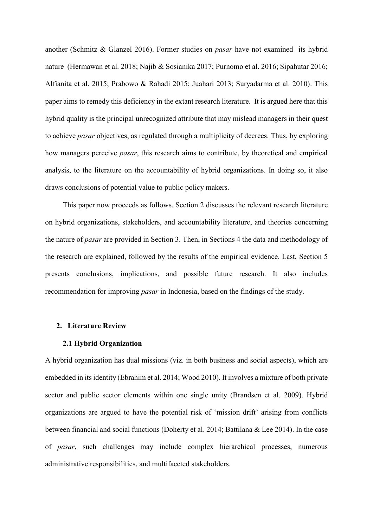another (Schmitz & Glanzel 2016). Former studies on *pasar* have not examined its hybrid nature (Hermawan et al. 2018; Najib & Sosianika 2017; Purnomo et al. 2016; Sipahutar 2016; Alfianita et al. 2015; Prabowo & Rahadi 2015; Juahari 2013; Suryadarma et al. 2010). This paper aims to remedy this deficiency in the extant research literature. It is argued here that this hybrid quality is the principal unrecognized attribute that may mislead managers in their quest to achieve *pasar* objectives, as regulated through a multiplicity of decrees. Thus, by exploring how managers perceive *pasar*, this research aims to contribute, by theoretical and empirical analysis, to the literature on the accountability of hybrid organizations. In doing so, it also draws conclusions of potential value to public policy makers.

This paper now proceeds as follows. Section 2 discusses the relevant research literature on hybrid organizations, stakeholders, and accountability literature, and theories concerning the nature of *pasar* are provided in Section 3. Then, in Sections 4 the data and methodology of the research are explained, followed by the results of the empirical evidence. Last, Section 5 presents conclusions, implications, and possible future research. It also includes recommendation for improving *pasar* in Indonesia, based on the findings of the study.

# **2. Literature Review**

# **2.1 Hybrid Organization**

A hybrid organization has dual missions (viz. in both business and social aspects), which are embedded in its identity (Ebrahim et al. 2014; Wood 2010). It involves a mixture of both private sector and public sector elements within one single unity (Brandsen et al. 2009). Hybrid organizations are argued to have the potential risk of 'mission drift' arising from conflicts between financial and social functions (Doherty et al. 2014; Battilana & Lee 2014). In the case of *pasar*, such challenges may include complex hierarchical processes, numerous administrative responsibilities, and multifaceted stakeholders.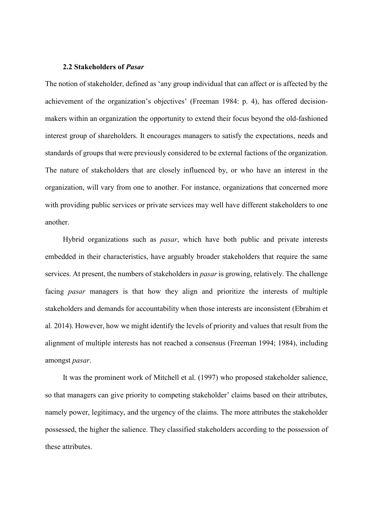#### **2.2 Stakeholders of** *Pasar*

The notion of stakeholder, defined as 'any group individual that can affect or is affected by the achievement of the organization's objectives' (Freeman 1984: p. 4), has offered decisionmakers within an organization the opportunity to extend their focus beyond the old-fashioned interest group of shareholders. It encourages managers to satisfy the expectations, needs and standards of groups that were previously considered to be external factions of the organization. The nature of stakeholders that are closely influenced by, or who have an interest in the organization, will vary from one to another. For instance, organizations that concerned more with providing public services or private services may well have different stakeholders to one another.

Hybrid organizations such as *pasar*, which have both public and private interests embedded in their characteristics, have arguably broader stakeholders that require the same services. At present, the numbers of stakeholders in *pasar* is growing, relatively. The challenge facing *pasar* managers is that how they align and prioritize the interests of multiple stakeholders and demands for accountability when those interests are inconsistent (Ebrahim et al. 2014). However, how we might identify the levels of priority and values that result from the alignment of multiple interests has not reached a consensus (Freeman 1994; 1984), including amongst *pasar*.

It was the prominent work of Mitchell et al. (1997) who proposed stakeholder salience, so that managers can give priority to competing stakeholder' claims based on their attributes, namely power, legitimacy, and the urgency of the claims. The more attributes the stakeholder possessed, the higher the salience. They classified stakeholders according to the possession of these attributes.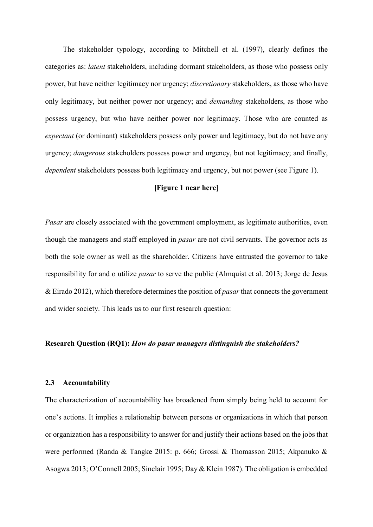The stakeholder typology, according to Mitchell et al. (1997), clearly defines the categories as: *latent* stakeholders, including dormant stakeholders, as those who possess only power, but have neither legitimacy nor urgency; *discretionary* stakeholders, as those who have only legitimacy, but neither power nor urgency; and *demanding* stakeholders, as those who possess urgency, but who have neither power nor legitimacy. Those who are counted as *expectant* (or dominant) stakeholders possess only power and legitimacy, but do not have any urgency; *dangerous* stakeholders possess power and urgency, but not legitimacy; and finally, *dependent* stakeholders possess both legitimacy and urgency, but not power (see Figure 1).

# **[Figure 1 near here]**

*Pasar* are closely associated with the government employment, as legitimate authorities, even though the managers and staff employed in *pasar* are not civil servants. The governor acts as both the sole owner as well as the shareholder. Citizens have entrusted the governor to take responsibility for and o utilize *pasar* to serve the public (Almquist et al. 2013; Jorge de Jesus & Eirado 2012), which therefore determines the position of *pasar* that connects the government and wider society. This leads us to our first research question:

# **Research Question (RQ1):** *How do pasar managers distinguish the stakeholders?*

# **2.3 Accountability**

The characterization of accountability has broadened from simply being held to account for one's actions. It implies a relationship between persons or organizations in which that person or organization has a responsibility to answer for and justify their actions based on the jobs that were performed (Randa & Tangke 2015: p. 666; Grossi & Thomasson 2015; Akpanuko & Asogwa 2013; O'Connell 2005; Sinclair 1995; Day & Klein 1987). The obligation is embedded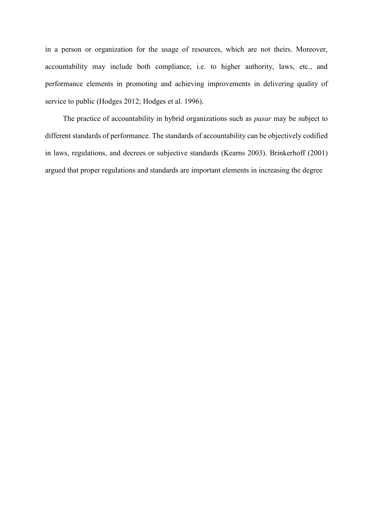in a person or organization for the usage of resources, which are not theirs. Moreover, accountability may include both compliance, i.e. to higher authority, laws, etc., and performance elements in promoting and achieving improvements in delivering quality of service to public (Hodges 2012; Hodges et al. 1996).

The practice of accountability in hybrid organizations such as *pasar* may be subject to different standards of performance. The standards of accountability can be objectively codified in laws, regulations, and decrees or subjective standards (Kearns 2003). Brinkerhoff (2001) argued that proper regulations and standards are important elements in increasing the degree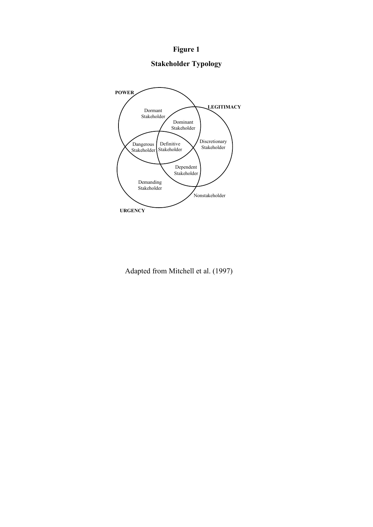# **Figure 1**

# **Stakeholder Typology**



Adapted from Mitchell et al. (1997)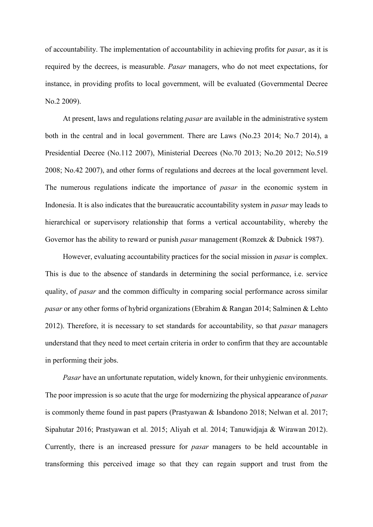of accountability. The implementation of accountability in achieving profits for *pasar*, as it is required by the decrees, is measurable. *Pasar* managers, who do not meet expectations, for instance, in providing profits to local government, will be evaluated (Governmental Decree No.2 2009).

At present, laws and regulations relating *pasar* are available in the administrative system both in the central and in local government. There are Laws (No.23 2014; No.7 2014), a Presidential Decree (No.112 2007), Ministerial Decrees (No.70 2013; No.20 2012; No.519 2008; No.42 2007), and other forms of regulations and decrees at the local government level. The numerous regulations indicate the importance of *pasar* in the economic system in Indonesia. It is also indicates that the bureaucratic accountability system in *pasar* may leads to hierarchical or supervisory relationship that forms a vertical accountability, whereby the Governor has the ability to reward or punish *pasar* management (Romzek & Dubnick 1987).

However, evaluating accountability practices for the social mission in *pasar* is complex. This is due to the absence of standards in determining the social performance, i.e. service quality, of *pasar* and the common difficulty in comparing social performance across similar *pasar* or any other forms of hybrid organizations (Ebrahim & Rangan 2014; Salminen & Lehto 2012). Therefore, it is necessary to set standards for accountability, so that *pasar* managers understand that they need to meet certain criteria in order to confirm that they are accountable in performing their jobs.

*Pasar* have an unfortunate reputation, widely known, for their unhygienic environments. The poor impression is so acute that the urge for modernizing the physical appearance of *pasar*  is commonly theme found in past papers (Prastyawan & Isbandono 2018; Nelwan et al. 2017; Sipahutar 2016; Prastyawan et al. 2015; Aliyah et al. 2014; Tanuwidjaja & Wirawan 2012). Currently, there is an increased pressure for *pasar* managers to be held accountable in transforming this perceived image so that they can regain support and trust from the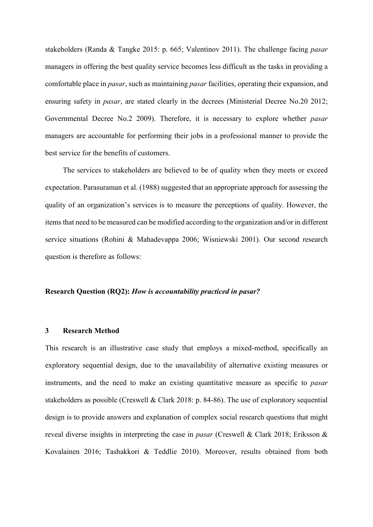stakeholders (Randa & Tangke 2015: p. 665; Valentinov 2011). The challenge facing *pasar* managers in offering the best quality service becomes less difficult as the tasks in providing a comfortable place in *pasar*, such as maintaining *pasar* facilities, operating their expansion, and ensuring safety in *pasar*, are stated clearly in the decrees (Ministerial Decree No.20 2012; Governmental Decree No.2 2009). Therefore, it is necessary to explore whether *pasar* managers are accountable for performing their jobs in a professional manner to provide the best service for the benefits of customers.

The services to stakeholders are believed to be of quality when they meets or exceed expectation. Parasuraman et al. (1988) suggested that an appropriate approach for assessing the quality of an organization's services is to measure the perceptions of quality. However, the items that need to be measured can be modified according to the organization and/or in different service situations (Rohini & Mahadevappa 2006; Wisniewski 2001). Our second research question is therefore as follows:

# **Research Question (RQ2):** *How is accountability practiced in pasar?*

### **3 Research Method**

This research is an illustrative case study that employs a mixed-method, specifically an exploratory sequential design, due to the unavailability of alternative existing measures or instruments, and the need to make an existing quantitative measure as specific to *pasar* stakeholders as possible (Creswell & Clark 2018: p. 84-86). The use of exploratory sequential design is to provide answers and explanation of complex social research questions that might reveal diverse insights in interpreting the case in *pasar* (Creswell & Clark 2018; Eriksson & Kovalainen 2016; Tashakkori & Teddlie 2010). Moreover, results obtained from both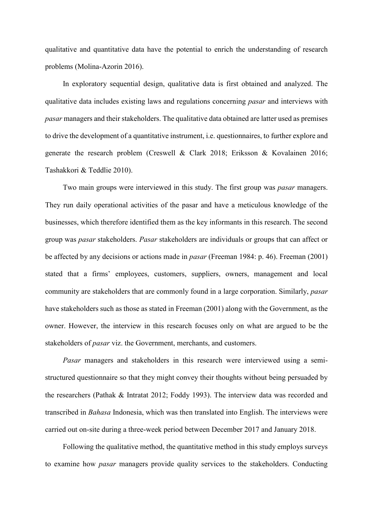qualitative and quantitative data have the potential to enrich the understanding of research problems (Molina-Azorin 2016).

In exploratory sequential design, qualitative data is first obtained and analyzed. The qualitative data includes existing laws and regulations concerning *pasar* and interviews with *pasar* managers and their stakeholders. The qualitative data obtained are latter used as premises to drive the development of a quantitative instrument, i.e. questionnaires, to further explore and generate the research problem (Creswell & Clark 2018; Eriksson & Kovalainen 2016; Tashakkori & Teddlie 2010).

Two main groups were interviewed in this study. The first group was *pasar* managers. They run daily operational activities of the pasar and have a meticulous knowledge of the businesses, which therefore identified them as the key informants in this research. The second group was *pasar* stakeholders. *Pasar* stakeholders are individuals or groups that can affect or be affected by any decisions or actions made in *pasar* (Freeman 1984: p. 46). Freeman (2001) stated that a firms' employees, customers, suppliers, owners, management and local community are stakeholders that are commonly found in a large corporation. Similarly, *pasar* have stakeholders such as those as stated in Freeman (2001) along with the Government, as the owner. However, the interview in this research focuses only on what are argued to be the stakeholders of *pasar* viz. the Government, merchants, and customers.

*Pasar* managers and stakeholders in this research were interviewed using a semistructured questionnaire so that they might convey their thoughts without being persuaded by the researchers (Pathak & Intratat 2012; Foddy 1993). The interview data was recorded and transcribed in *Bahasa* Indonesia, which was then translated into English. The interviews were carried out on-site during a three-week period between December 2017 and January 2018.

Following the qualitative method, the quantitative method in this study employs surveys to examine how *pasar* managers provide quality services to the stakeholders. Conducting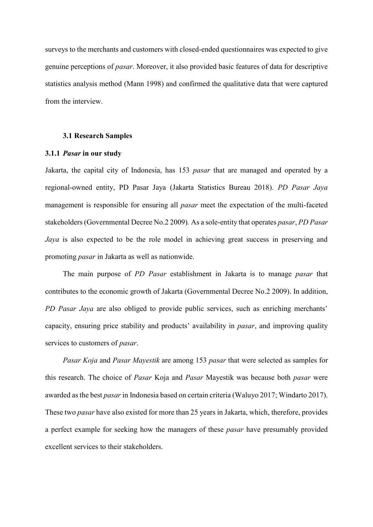surveys to the merchants and customers with closed-ended questionnaires was expected to give genuine perceptions of *pasar*. Moreover, it also provided basic features of data for descriptive statistics analysis method (Mann 1998) and confirmed the qualitative data that were captured from the interview.

#### **3.1 Research Samples**

#### **3.1.1** *Pasar* **in our study**

Jakarta, the capital city of Indonesia, has 153 *pasar* that are managed and operated by a regional-owned entity, PD Pasar Jaya (Jakarta Statistics Bureau 2018). *PD Pasar Jaya* management is responsible for ensuring all *pasar* meet the expectation of the multi-faceted stakeholders(Governmental Decree No.2 2009)*.* As a sole-entity that operates *pasar*, *PD Pasar Jaya* is also expected to be the role model in achieving great success in preserving and promoting *pasar* in Jakarta as well as nationwide.

The main purpose of *PD Pasar* establishment in Jakarta is to manage *pasar* that contributes to the economic growth of Jakarta (Governmental Decree No.2 2009). In addition, *PD Pasar Jaya* are also obliged to provide public services, such as enriching merchants' capacity, ensuring price stability and products' availability in *pasar*, and improving quality services to customers of *pasar*.

*Pasar Koja* and *Pasar Mayestik* are among 153 *pasar* that were selected as samples for this research. The choice of *Pasar* Koja and *Pasar* Mayestik was because both *pasar* were awarded as the best *pasar* in Indonesia based on certain criteria (Waluyo 2017; Windarto 2017). These two *pasar* have also existed for more than 25 years in Jakarta, which, therefore, provides a perfect example for seeking how the managers of these *pasar* have presumably provided excellent services to their stakeholders.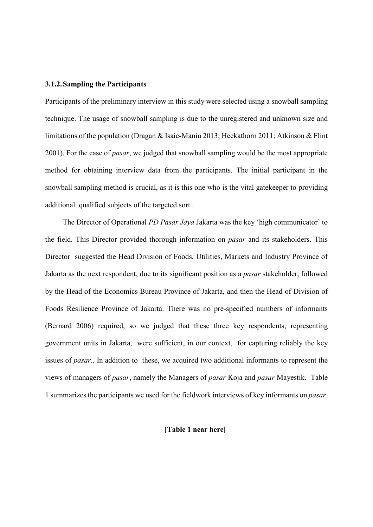#### **3.1.2.Sampling the Participants**

Participants of the preliminary interview in this study were selected using a snowball sampling technique. The usage of snowball sampling is due to the unregistered and unknown size and limitations of the population (Dragan & Isaic-Maniu 2013; Heckathorn 2011; Atkinson & Flint 2001). For the case of *pasar*, we judged that snowball sampling would be the most appropriate method for obtaining interview data from the participants. The initial participant in the snowball sampling method is crucial, as it is this one who is the vital gatekeeper to providing additional qualified subjects of the targeted sort..

The Director of Operational *PD Pasar Jaya* Jakarta was the key 'high communicator' to the field. This Director provided thorough information on *pasar* and its stakeholders. This Director suggested the Head Division of Foods, Utilities, Markets and Industry Province of Jakarta as the next respondent, due to its significant position as a *pasar* stakeholder, followed by the Head of the Economics Bureau Province of Jakarta, and then the Head of Division of Foods Resilience Province of Jakarta. There was no pre-specified numbers of informants (Bernard 2006) required, so we judged that these three key respondents, representing government units in Jakarta, were sufficient, in our context, for capturing reliably the key issues of *pasar*.. In addition to these, we acquired two additional informants to represent the views of managers of *pasar*, namely the Managers of *pasar* Koja and *pasar* Mayestik. Table 1 summarizes the participants we used for the fieldwork interviews of key informants on *pasar*.

# **[Table 1 near here]**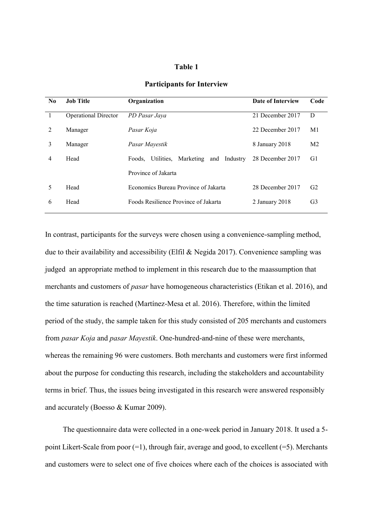## **Table 1**

| $\bf No$ | <b>Job Title</b>            | Organization                                         | Date of Interview | Code           |
|----------|-----------------------------|------------------------------------------------------|-------------------|----------------|
| 1        | <b>Operational Director</b> | PD Pasar Java                                        | 21 December 2017  | D              |
| 2        | Manager                     | Pasar Koja                                           | 22 December 2017  | M1             |
| 3        | Manager                     | Pasar Mayestik                                       | 8 January 2018    | M <sub>2</sub> |
| 4        | Head                        | Marketing<br>Utilities,<br>and<br>Industry<br>Foods. | 28 December 2017  | G1             |
|          |                             | Province of Jakarta                                  |                   |                |
| 5        | Head                        | Economics Bureau Province of Jakarta                 | 28 December 2017  | G <sub>2</sub> |
| 6        | Head                        | Foods Resilience Province of Jakarta                 | 2 January 2018    | G <sub>3</sub> |
|          |                             |                                                      |                   |                |

# **Participants for Interview**

In contrast, participants for the surveys were chosen using a convenience-sampling method, due to their availability and accessibility (Elfil & Negida 2017). Convenience sampling was judged an appropriate method to implement in this research due to the maassumption that merchants and customers of *pasar* have homogeneous characteristics (Etikan et al. 2016), and the time saturation is reached (Martínez-Mesa et al. 2016). Therefore, within the limited period of the study, the sample taken for this study consisted of 205 merchants and customers from *pasar Koja* and *pasar Mayestik*. One-hundred-and-nine of these were merchants, whereas the remaining 96 were customers. Both merchants and customers were first informed about the purpose for conducting this research, including the stakeholders and accountability terms in brief. Thus, the issues being investigated in this research were answered responsibly and accurately (Boesso & Kumar 2009).

The questionnaire data were collected in a one-week period in January 2018. It used a 5 point Likert-Scale from poor (=1), through fair, average and good, to excellent (=5). Merchants and customers were to select one of five choices where each of the choices is associated with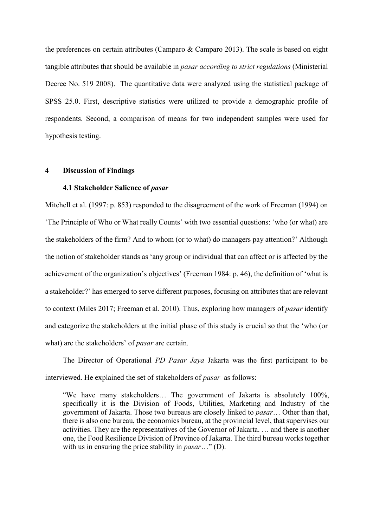the preferences on certain attributes (Camparo & Camparo 2013). The scale is based on eight tangible attributes that should be available in *pasar according to strict regulations* (Ministerial Decree No. 519 2008). The quantitative data were analyzed using the statistical package of SPSS 25.0. First, descriptive statistics were utilized to provide a demographic profile of respondents. Second, a comparison of means for two independent samples were used for hypothesis testing.

## **4 Discussion of Findings**

### **4.1 Stakeholder Salience of** *pasar*

Mitchell et al. (1997: p. 853) responded to the disagreement of the work of Freeman (1994) on 'The Principle of Who or What really Counts' with two essential questions: 'who (or what) are the stakeholders of the firm? And to whom (or to what) do managers pay attention?' Although the notion of stakeholder stands as 'any group or individual that can affect or is affected by the achievement of the organization's objectives' (Freeman 1984: p. 46), the definition of 'what is a stakeholder?' has emerged to serve different purposes, focusing on attributes that are relevant to context (Miles 2017; Freeman et al. 2010). Thus, exploring how managers of *pasar* identify and categorize the stakeholders at the initial phase of this study is crucial so that the 'who (or what) are the stakeholders' of *pasar* are certain.

The Director of Operational *PD Pasar Jaya* Jakarta was the first participant to be interviewed. He explained the set of stakeholders of *pasar* as follows:

"We have many stakeholders… The government of Jakarta is absolutely 100%, specifically it is the Division of Foods, Utilities, Marketing and Industry of the government of Jakarta. Those two bureaus are closely linked to *pasar*… Other than that, there is also one bureau, the economics bureau, at the provincial level, that supervises our activities. They are the representatives of the Governor of Jakarta. … and there is another one, the Food Resilience Division of Province of Jakarta. The third bureau works together with us in ensuring the price stability in *pasar*…" (D).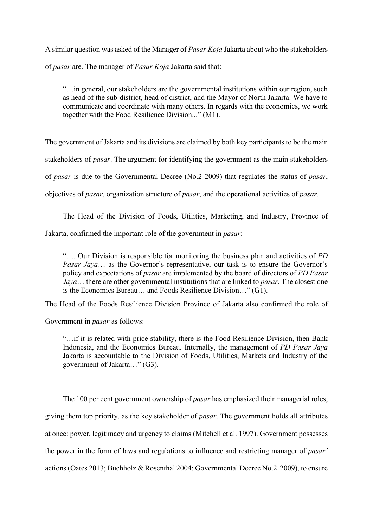A similar question was asked of the Manager of *Pasar Koja* Jakarta about who the stakeholders of *pasar* are. The manager of *Pasar Koja* Jakarta said that:

"…in general, our stakeholders are the governmental institutions within our region, such as head of the sub-district, head of district, and the Mayor of North Jakarta. We have to communicate and coordinate with many others. In regards with the economics, we work together with the Food Resilience Division..." (M1).

The government of Jakarta and its divisions are claimed by both key participants to be the main stakeholders of *pasar*. The argument for identifying the government as the main stakeholders of *pasar* is due to the Governmental Decree (No.2 2009) that regulates the status of *pasar*, objectives of *pasar*, organization structure of *pasar*, and the operational activities of *pasar*.

The Head of the Division of Foods, Utilities, Marketing, and Industry, Province of Jakarta, confirmed the important role of the government in *pasar*:

"…. Our Division is responsible for monitoring the business plan and activities of *PD Pasar Jaya* ... as the Governor's representative, our task is to ensure the Governor's policy and expectations of *pasar* are implemented by the board of directors of *PD Pasar Jaya*… there are other governmental institutions that are linked to *pasar*. The closest one is the Economics Bureau… and Foods Resilience Division…" (G1).

The Head of the Foods Resilience Division Province of Jakarta also confirmed the role of

Government in *pasar* as follows:

"…if it is related with price stability, there is the Food Resilience Division, then Bank Indonesia, and the Economics Bureau. Internally, the management of *PD Pasar Jaya* Jakarta is accountable to the Division of Foods, Utilities, Markets and Industry of the government of Jakarta…" (G3).

The 100 per cent government ownership of *pasar* has emphasized their managerial roles, giving them top priority, as the key stakeholder of *pasar*. The government holds all attributes at once: power, legitimacy and urgency to claims (Mitchell et al. 1997). Government possesses the power in the form of laws and regulations to influence and restricting manager of *pasar'* actions(Oates 2013; Buchholz & Rosenthal 2004; Governmental Decree No.2 2009), to ensure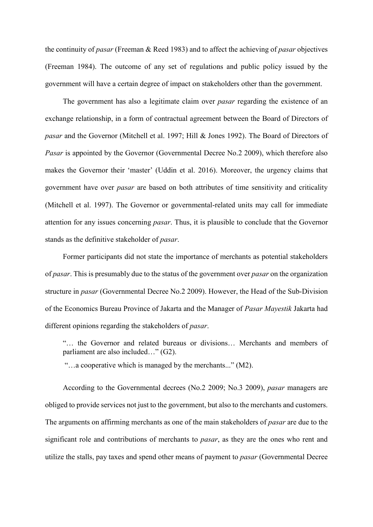the continuity of *pasar* (Freeman & Reed 1983) and to affect the achieving of *pasar* objectives (Freeman 1984). The outcome of any set of regulations and public policy issued by the government will have a certain degree of impact on stakeholders other than the government.

The government has also a legitimate claim over *pasar* regarding the existence of an exchange relationship, in a form of contractual agreement between the Board of Directors of *pasar* and the Governor (Mitchell et al. 1997; Hill & Jones 1992). The Board of Directors of *Pasar* is appointed by the Governor (Governmental Decree No.2 2009), which therefore also makes the Governor their 'master' (Uddin et al. 2016). Moreover, the urgency claims that government have over *pasar* are based on both attributes of time sensitivity and criticality (Mitchell et al. 1997). The Governor or governmental-related units may call for immediate attention for any issues concerning *pasar*. Thus, it is plausible to conclude that the Governor stands as the definitive stakeholder of *pasar*.

Former participants did not state the importance of merchants as potential stakeholders of *pasar*. This is presumably due to the status of the government over *pasar* on the organization structure in *pasar* (Governmental Decree No.2 2009). However, the Head of the Sub-Division of the Economics Bureau Province of Jakarta and the Manager of *Pasar Mayestik* Jakarta had different opinions regarding the stakeholders of *pasar*.

"… the Governor and related bureaus or divisions… Merchants and members of parliament are also included…" (G2).

"…a cooperative which is managed by the merchants..." (M2).

According to the Governmental decrees (No.2 2009; No.3 2009), *pasar* managers are obliged to provide services not just to the government, but also to the merchants and customers. The arguments on affirming merchants as one of the main stakeholders of *pasar* are due to the significant role and contributions of merchants to *pasar*, as they are the ones who rent and utilize the stalls, pay taxes and spend other means of payment to *pasar* (Governmental Decree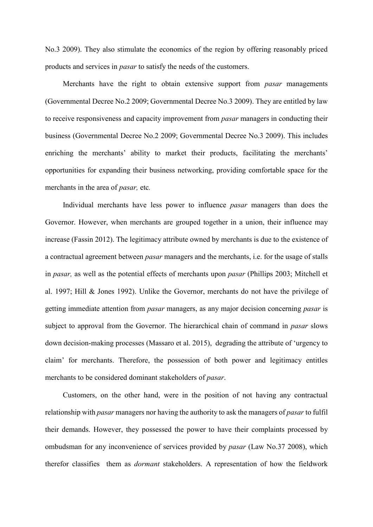No.3 2009). They also stimulate the economics of the region by offering reasonably priced products and services in *pasar* to satisfy the needs of the customers.

Merchants have the right to obtain extensive support from *pasar* managements (Governmental Decree No.2 2009; Governmental Decree No.3 2009). They are entitled by law to receive responsiveness and capacity improvement from *pasar* managers in conducting their business (Governmental Decree No.2 2009; Governmental Decree No.3 2009). This includes enriching the merchants' ability to market their products, facilitating the merchants' opportunities for expanding their business networking, providing comfortable space for the merchants in the area of *pasar,* etc*.*

Individual merchants have less power to influence *pasar* managers than does the Governor. However, when merchants are grouped together in a union, their influence may increase (Fassin 2012). The legitimacy attribute owned by merchants is due to the existence of a contractual agreement between *pasar* managers and the merchants, i.e. for the usage of stalls in *pasar,* as well as the potential effects of merchants upon *pasar* (Phillips 2003; Mitchell et al. 1997; Hill & Jones 1992). Unlike the Governor, merchants do not have the privilege of getting immediate attention from *pasar* managers, as any major decision concerning *pasar* is subject to approval from the Governor. The hierarchical chain of command in *pasar* slows down decision-making processes (Massaro et al. 2015), degrading the attribute of 'urgency to claim' for merchants. Therefore, the possession of both power and legitimacy entitles merchants to be considered dominant stakeholders of *pasar*.

Customers, on the other hand, were in the position of not having any contractual relationship with *pasar* managers nor having the authority to ask the managers of *pasar* to fulfil their demands. However, they possessed the power to have their complaints processed by ombudsman for any inconvenience of services provided by *pasar* (Law No.37 2008), which therefor classifies them as *dormant* stakeholders. A representation of how the fieldwork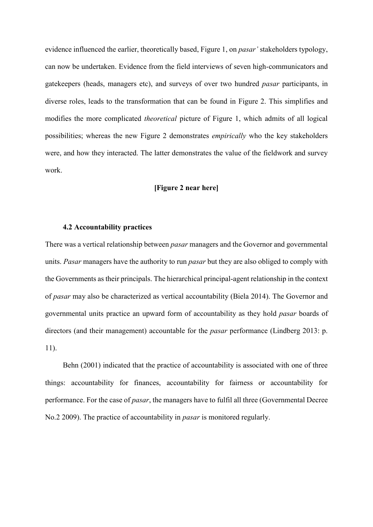evidence influenced the earlier, theoretically based, Figure 1, on *pasar'* stakeholders typology, can now be undertaken. Evidence from the field interviews of seven high-communicators and gatekeepers (heads, managers etc), and surveys of over two hundred *pasar* participants, in diverse roles, leads to the transformation that can be found in Figure 2. This simplifies and modifies the more complicated *theoretical* picture of Figure 1, which admits of all logical possibilities; whereas the new Figure 2 demonstrates *empirically* who the key stakeholders were, and how they interacted. The latter demonstrates the value of the fieldwork and survey work.

# **[Figure 2 near here]**

#### **4.2 Accountability practices**

There was a vertical relationship between *pasar* managers and the Governor and governmental units. *Pasar* managers have the authority to run *pasar* but they are also obliged to comply with the Governments as their principals. The hierarchical principal-agent relationship in the context of *pasar* may also be characterized as vertical accountability (Biela 2014). The Governor and governmental units practice an upward form of accountability as they hold *pasar* boards of directors (and their management) accountable for the *pasar* performance (Lindberg 2013: p. 11).

Behn (2001) indicated that the practice of accountability is associated with one of three things: accountability for finances, accountability for fairness or accountability for performance. For the case of *pasar*, the managers have to fulfil all three (Governmental Decree No.2 2009). The practice of accountability in *pasar* is monitored regularly.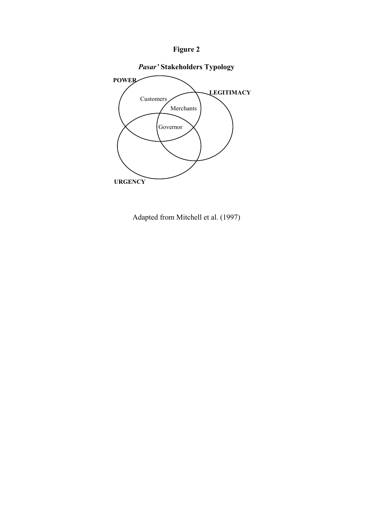



Adapted from Mitchell et al. (1997)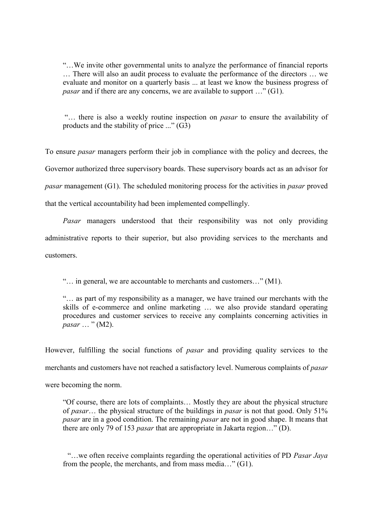"…We invite other governmental units to analyze the performance of financial reports … There will also an audit process to evaluate the performance of the directors … we evaluate and monitor on a quarterly basis ... at least we know the business progress of *pasar* and if there are any concerns, we are available to support ..." (G1).

"… there is also a weekly routine inspection on *pasar* to ensure the availability of products and the stability of price ..." (G3)

To ensure *pasar* managers perform their job in compliance with the policy and decrees, the Governor authorized three supervisory boards. These supervisory boards act as an advisor for *pasar* management (G1). The scheduled monitoring process for the activities in *pasar* proved that the vertical accountability had been implemented compellingly.

*Pasar* managers understood that their responsibility was not only providing administrative reports to their superior, but also providing services to the merchants and customers.

"… in general, we are accountable to merchants and customers…" (M1).

"… as part of my responsibility as a manager, we have trained our merchants with the skills of e-commerce and online marketing … we also provide standard operating procedures and customer services to receive any complaints concerning activities in *pasar* … " (M2).

However, fulfilling the social functions of *pasar* and providing quality services to the merchants and customers have not reached a satisfactory level. Numerous complaints of *pasar* were becoming the norm.

"Of course, there are lots of complaints… Mostly they are about the physical structure of *pasar*… the physical structure of the buildings in *pasar* is not that good. Only 51% *pasar* are in a good condition. The remaining *pasar* are not in good shape. It means that there are only 79 of 153 *pasar* that are appropriate in Jakarta region…" (D).

"…we often receive complaints regarding the operational activities of PD *Pasar Jaya* from the people, the merchants, and from mass media…" (G1).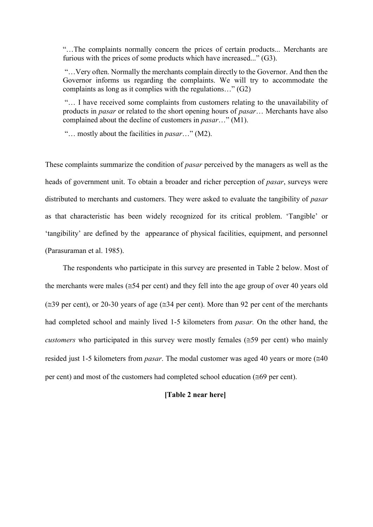"…The complaints normally concern the prices of certain products... Merchants are furious with the prices of some products which have increased..." (G3).

"…Very often. Normally the merchants complain directly to the Governor. And then the Governor informs us regarding the complaints. We will try to accommodate the complaints as long as it complies with the regulations…" (G2)

"… I have received some complaints from customers relating to the unavailability of products in *pasar* or related to the short opening hours of *pasar*… Merchants have also complained about the decline of customers in *pasar*…" (M1).

"… mostly about the facilities in *pasar*…" (M2).

These complaints summarize the condition of *pasar* perceived by the managers as well as the heads of government unit. To obtain a broader and richer perception of *pasar*, surveys were distributed to merchants and customers. They were asked to evaluate the tangibility of *pasar* as that characteristic has been widely recognized for its critical problem. 'Tangible' or 'tangibility' are defined by the appearance of physical facilities, equipment, and personnel (Parasuraman et al. 1985).

The respondents who participate in this survey are presented in Table 2 below. Most of the merchants were males ( $\leq 54$  per cent) and they fell into the age group of over 40 years old  $(\approx 39 \text{ per cent})$ , or 20-30 years of age ( $\approx 34$  per cent). More than 92 per cent of the merchants had completed school and mainly lived 1-5 kilometers from *pasar.* On the other hand, the *customers* who participated in this survey were mostly females ( $\leq$ 59 per cent) who mainly resided just 1-5 kilometers from *pasar*. The modal customer was aged 40 years or more  $(\approx 40)$ per cent) and most of the customers had completed school education ( $\leq 69$  per cent).

# **[Table 2 near here]**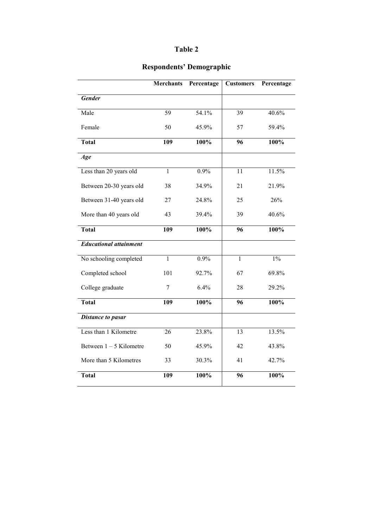# **Table 2**

# **Respondents' Demographic**

|                               | <b>Merchants</b> | Percentage | <b>Customers</b> | Percentage |
|-------------------------------|------------------|------------|------------------|------------|
| Gender                        |                  |            |                  |            |
| Male                          | 59               | 54.1%      | $\overline{39}$  | 40.6%      |
| Female                        | 50               | 45.9%      | 57               | 59.4%      |
| <b>Total</b>                  | 109              | 100%       | 96               | 100%       |
| Age                           |                  |            |                  |            |
| Less than 20 years old        | $\overline{1}$   | 0.9%       | 11               | 11.5%      |
| Between 20-30 years old       | 38               | 34.9%      | 21               | 21.9%      |
| Between 31-40 years old       | 27               | 24.8%      | 25               | 26%        |
| More than 40 years old        | 43               | 39.4%      | 39               | 40.6%      |
| <b>Total</b>                  | 109              | 100%       | 96               | 100%       |
| <b>Educational attainment</b> |                  |            |                  |            |
| No schooling completed        | $\overline{1}$   | 0.9%       | $\mathbf{1}$     | $1\%$      |
| Completed school              | 101              | 92.7%      | 67               | 69.8%      |
| College graduate              | 7                | 6.4%       | 28               | 29.2%      |
| <b>Total</b>                  | 109              | 100%       | 96               | 100%       |
| <b>Distance to pasar</b>      |                  |            |                  |            |
| Less than 1 Kilometre         | $\overline{26}$  | 23.8%      | 13               | 13.5%      |
| Between $1 - 5$ Kilometre     | 50               | 45.9%      | 42               | 43.8%      |
| More than 5 Kilometres        | 33               | 30.3%      | 41               | 42.7%      |
| <b>Total</b>                  | 109              | 100%       | 96               | 100%       |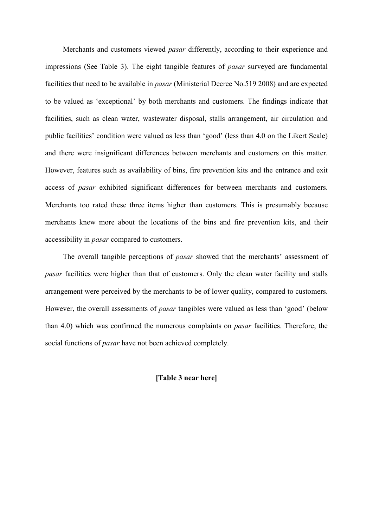Merchants and customers viewed *pasar* differently, according to their experience and impressions (See Table 3). The eight tangible features of *pasar* surveyed are fundamental facilities that need to be available in *pasar* (Ministerial Decree No.519 2008) and are expected to be valued as 'exceptional' by both merchants and customers. The findings indicate that facilities, such as clean water, wastewater disposal, stalls arrangement, air circulation and public facilities' condition were valued as less than 'good' (less than 4.0 on the Likert Scale) and there were insignificant differences between merchants and customers on this matter. However, features such as availability of bins, fire prevention kits and the entrance and exit access of *pasar* exhibited significant differences for between merchants and customers. Merchants too rated these three items higher than customers. This is presumably because merchants knew more about the locations of the bins and fire prevention kits, and their accessibility in *pasar* compared to customers.

The overall tangible perceptions of *pasar* showed that the merchants' assessment of *pasar* facilities were higher than that of customers. Only the clean water facility and stalls arrangement were perceived by the merchants to be of lower quality, compared to customers. However, the overall assessments of *pasar* tangibles were valued as less than 'good' (below than 4.0) which was confirmed the numerous complaints on *pasar* facilities. Therefore, the social functions of *pasar* have not been achieved completely.

**[Table 3 near here]**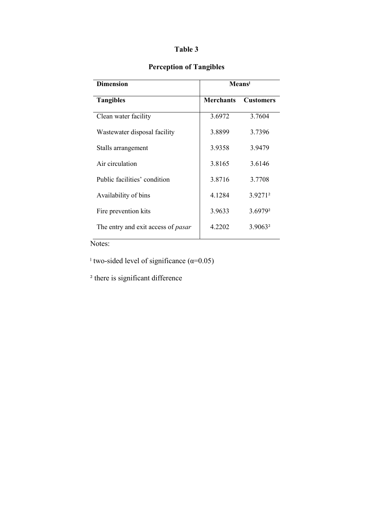# **Table 3**

# **Perception of Tangibles**

| <b>Dimension</b>                          | Means            |                     |  |
|-------------------------------------------|------------------|---------------------|--|
| <b>Tangibles</b>                          | <b>Merchants</b> | <b>Customers</b>    |  |
| Clean water facility                      | 3.6972           | 3 7604              |  |
| Wastewater disposal facility              | 3.8899           | 3.7396              |  |
| Stalls arrangement                        | 3.9358           | 3.9479              |  |
| Air circulation                           | 3 8 1 6 5        | 36146               |  |
| Public facilities' condition              | 3.8716           | 3.7708              |  |
| Availability of bins                      | 4.1284           | 3.9271 <sup>2</sup> |  |
| Fire prevention kits                      | 3.9633           | 3.6979 <sup>2</sup> |  |
| The entry and exit access of <i>pasar</i> | 4.2202           | 3.9063 <sup>2</sup> |  |
|                                           |                  |                     |  |

Notes:

<sup>1</sup> two-sided level of significance  $(\alpha=0.05)$ 

<sup>2</sup> there is significant difference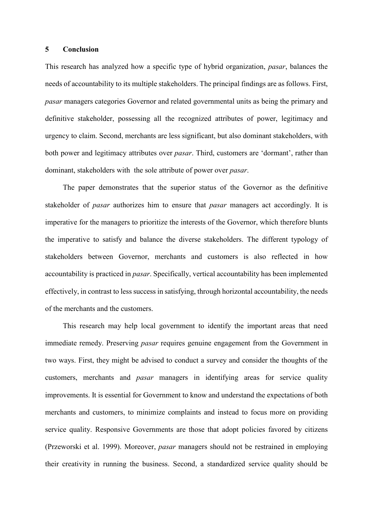#### **5 Conclusion**

This research has analyzed how a specific type of hybrid organization, *pasar*, balances the needs of accountability to its multiple stakeholders. The principal findings are as follows. First, *pasar* managers categories Governor and related governmental units as being the primary and definitive stakeholder, possessing all the recognized attributes of power, legitimacy and urgency to claim. Second, merchants are less significant, but also dominant stakeholders, with both power and legitimacy attributes over *pasar*. Third, customers are 'dormant', rather than dominant, stakeholders with the sole attribute of power over *pasar*.

The paper demonstrates that the superior status of the Governor as the definitive stakeholder of *pasar* authorizes him to ensure that *pasar* managers act accordingly. It is imperative for the managers to prioritize the interests of the Governor, which therefore blunts the imperative to satisfy and balance the diverse stakeholders. The different typology of stakeholders between Governor, merchants and customers is also reflected in how accountability is practiced in *pasar*. Specifically, vertical accountability has been implemented effectively, in contrast to less success in satisfying, through horizontal accountability, the needs of the merchants and the customers.

This research may help local government to identify the important areas that need immediate remedy. Preserving *pasar* requires genuine engagement from the Government in two ways. First, they might be advised to conduct a survey and consider the thoughts of the customers, merchants and *pasar* managers in identifying areas for service quality improvements. It is essential for Government to know and understand the expectations of both merchants and customers, to minimize complaints and instead to focus more on providing service quality. Responsive Governments are those that adopt policies favored by citizens (Przeworski et al. 1999). Moreover, *pasar* managers should not be restrained in employing their creativity in running the business. Second, a standardized service quality should be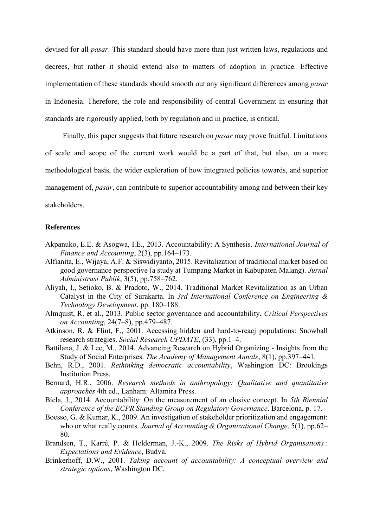devised for all *pasar*. This standard should have more than just written laws, regulations and decrees, but rather it should extend also to matters of adoption in practice. Effective implementation of these standards should smooth out any significant differences among *pasar*  in Indonesia. Therefore, the role and responsibility of central Government in ensuring that standards are rigorously applied, both by regulation and in practice, is critical.

Finally, this paper suggests that future research on *pasar* may prove fruitful. Limitations of scale and scope of the current work would be a part of that, but also, on a more methodological basis, the wider exploration of how integrated policies towards, and superior management of, *pasar*, can contribute to superior accountability among and between their key stakeholders.

# **References**

- Akpanuko, E.E. & Asogwa, I.E., 2013. Accountability: A Synthesis. *International Journal of Finance and Accounting*, 2(3), pp.164–173.
- Alfianita, E., Wijaya, A.F. & Siswidiyanto, 2015. Revitalization of traditional market based on good governance perspective (a study at Tumpang Market in Kabupaten Malang). *Jurnal Administrasi Publik*, 3(5), pp.758–762.
- Aliyah, I., Setioko, B. & Pradoto, W., 2014. Traditional Market Revitalization as an Urban Catalyst in the City of Surakarta. In *3rd International Conference on Engineering & Technology Development*. pp. 180–188.
- Almquist, R. et al., 2013. Public sector governance and accountability. *Critical Perspectives on Accounting*, 24(7–8), pp.479–487.
- Atkinson, R. & Flint, F., 2001. Accessing hidden and hard-to-reacj populations: Snowball research strategies. *Social Research UPDATE*, (33), pp.1–4.
- Battilana, J. & Lee, M., 2014. Advancing Research on Hybrid Organizing Insights from the Study of Social Enterprises. *The Academy of Management Annals*, 8(1), pp.397–441.
- Behn, R.D., 2001. *Rethinking democratic accountability*, Washington DC: Brookings Institution Press.
- Bernard, H.R., 2006. *Research methods in anthropology: Qualitative and quantitative approaches* 4th ed., Lanham: Altamira Press.
- Biela, J., 2014. Accountability: On the measurement of an elusive concept. In *5th Biennial Conference of the ECPR Standing Group on Regulatory Governance*. Barcelona, p. 17.
- Boesso, G. & Kumar, K., 2009. An investigation of stakeholder prioritization and engagement: who or what really counts. *Journal of Accounting & Organizational Change*, 5(1), pp.62– 80.
- Brandsen, T., Karré, P. & Helderman, J.-K., 2009. *The Risks of Hybrid Organisations : Expectations and Evidence*, Budva.
- Brinkerhoff, D.W., 2001. *Taking account of accountability: A conceptual overview and strategic options*, Washington DC.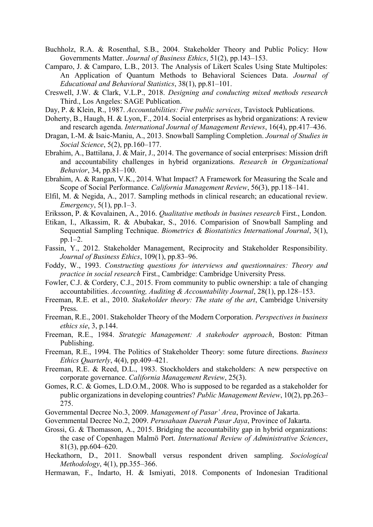- Buchholz, R.A. & Rosenthal, S.B., 2004. Stakeholder Theory and Public Policy: How Governments Matter. *Journal of Business Ethics*, 51(2), pp.143–153.
- Camparo, J. & Camparo, L.B., 2013. The Analysis of Likert Scales Using State Multipoles: An Application of Quantum Methods to Behavioral Sciences Data. *Journal of Educational and Behavioral Statistics*, 38(1), pp.81–101.
- Creswell, J.W. & Clark, V.L.P., 2018. *Designing and conducting mixed methods research* Third., Los Angeles: SAGE Publication.
- Day, P. & Klein, R., 1987. *Accountabilities: Five public services*, Tavistock Publications.
- Doherty, B., Haugh, H. & Lyon, F., 2014. Social enterprises as hybrid organizations: A review and research agenda. *International Journal of Management Reviews*, 16(4), pp.417–436.
- Dragan, I.-M. & Isaic-Maniu, A., 2013. Snowball Sampling Completion. *Journal of Studies in Social Science*, 5(2), pp.160–177.
- Ebrahim, A., Battilana, J. & Mair, J., 2014. The governance of social enterprises: Mission drift and accountability challenges in hybrid organizations. *Research in Organizational Behavior*, 34, pp.81–100.
- Ebrahim, A. & Rangan, V.K., 2014. What Impact? A Framework for Measuring the Scale and Scope of Social Performance. *California Management Review*, 56(3), pp.118–141.
- Elfil, M. & Negida, A., 2017. Sampling methods in clinical research; an educational review. *Emergency*, 5(1), pp.1–3.
- Eriksson, P. & Kovalainen, A., 2016. *Qualitative methods in busines research* First., London.
- Etikan, I., Alkassim, R. & Abubakar, S., 2016. Comparision of Snowball Sampling and Sequential Sampling Technique. *Biometrics & Biostatistics International Journal*, 3(1), pp.1–2.
- Fassin, Y., 2012. Stakeholder Management, Reciprocity and Stakeholder Responsibility. *Journal of Business Ethics*, 109(1), pp.83–96.
- Foddy, W., 1993. *Constructing questions for interviews and questionnaires: Theory and practice in social research* First., Cambridge: Cambridge University Press.
- Fowler, C.J. & Cordery, C.J., 2015. From community to public ownership: a tale of changing accountabilities. *Accounting, Auditing & Accountability Journal*, 28(1), pp.128–153.
- Freeman, R.E. et al., 2010. *Stakeholder theory: The state of the art*, Cambridge University Press.
- Freeman, R.E., 2001. Stakeholder Theory of the Modern Corporation. *Perspectives in business ethics sie*, 3, p.144.
- Freeman, R.E., 1984. *Strategic Management: A stakehoder approach*, Boston: Pitman Publishing.
- Freeman, R.E., 1994. The Politics of Stakeholder Theory: some future directions. *Business Ethics Quarterly*, 4(4), pp.409–421.
- Freeman, R.E. & Reed, D.L., 1983. Stockholders and stakeholders: A new perspective on corporate governance. *California Management Review*, 25(3).
- Gomes, R.C. & Gomes, L.D.O.M., 2008. Who is supposed to be regarded as a stakeholder for public organizations in developing countries? *Public Management Review*, 10(2), pp.263– 275.
- Governmental Decree No.3, 2009. *Management of Pasar' Area*, Province of Jakarta.
- Governmental Decree No.2, 2009. *Perusahaan Daerah Pasar Jaya*, Province of Jakarta.
- Grossi, G. & Thomasson, A., 2015. Bridging the accountability gap in hybrid organizations: the case of Copenhagen Malmö Port. *International Review of Administrative Sciences*, 81(3), pp.604–620.
- Heckathorn, D., 2011. Snowball versus respondent driven sampling. *Sociological Methodology*, 4(1), pp.355–366.
- Hermawan, F., Indarto, H. & Ismiyati, 2018. Components of Indonesian Traditional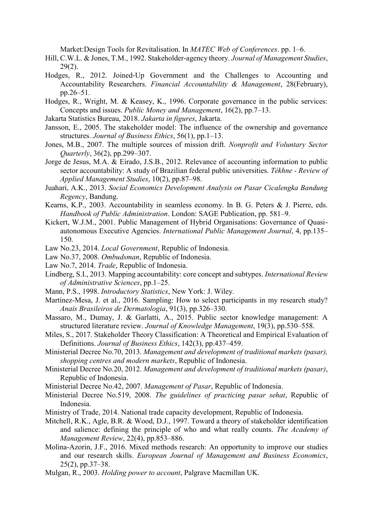Market:Design Tools for Revitalisation. In *MATEC Web of Conferences*. pp. 1–6.

- Hill, C.W.L. & Jones, T.M., 1992. Stakeholder-agency theory. *Journal of Management Studies*, 29(2).
- Hodges, R., 2012. Joined‐Up Government and the Challenges to Accounting and Accountability Researchers. *Financial Accountability & Management*, 28(February), pp.26–51.
- Hodges, R., Wright, M. & Keasey, K., 1996. Corporate governance in the public services: Concepts and issues. *Public Money and Management*, 16(2), pp.7–13.
- Jakarta Statistics Bureau, 2018. *Jakarta in figures*, Jakarta.
- Jansson, E., 2005. The stakeholder model: The influence of the ownership and governance structures. *Journal of Business Ethics*, 56(1), pp.1–13.
- Jones, M.B., 2007. The multiple sources of mission drift. *Nonprofit and Voluntary Sector Quarterly*, 36(2), pp.299–307.
- Jorge de Jesus, M.A. & Eirado, J.S.B., 2012. Relevance of accounting information to public sector accountability: A study of Brazilian federal public universities. *Tékhne - Review of Applied Management Studies*, 10(2), pp.87–98.
- Juahari, A.K., 2013. *Social Economics Development Analysis on Pasar Cicalengka Bandung Regency*, Bandung.
- Kearns, K.P., 2003. Accountability in seamless economy. In B. G. Peters & J. Pierre, eds. *Handbook of Public Administration*. London: SAGE Publication, pp. 581–9.
- Kickert, W.J.M., 2001. Public Management of Hybrid Organisations: Governance of Quasiautonomous Executive Agencies. *International Public Management Journal*, 4, pp.135– 150.
- Law No.23, 2014. *Local Government*, Republic of Indonesia.
- Law No.37, 2008. *Ombudsman*, Republic of Indonesia.
- Law No.7, 2014. *Trade*, Republic of Indonesia.
- Lindberg, S.I., 2013. Mapping accountability: core concept and subtypes. *International Review of Administrative Sciences*, pp.1–25.
- Mann, P.S., 1998. *Introductory Statistics*, New York: J. Wiley.
- Martínez-Mesa, J. et al., 2016. Sampling: How to select participants in my research study? *Anais Brasileiros de Dermatologia*, 91(3), pp.326–330.
- Massaro, M., Dumay, J. & Garlatti, A., 2015. Public sector knowledge management: A structured literature review. *Journal of Knowledge Management*, 19(3), pp.530–558.
- Miles, S., 2017. Stakeholder Theory Classification: A Theoretical and Empirical Evaluation of Definitions. *Journal of Business Ethics*, 142(3), pp.437–459.
- Ministerial Decree No.70, 2013. *Management and development of traditional markets (pasar), shopping centres and modern markets*, Republic of Indonesia.
- Ministerial Decree No.20, 2012. *Management and development of traditional markets (pasar)*, Republic of Indonesia.
- Ministerial Decree No.42, 2007. *Management of Pasar*, Republic of Indonesia.
- Ministerial Decree No.519, 2008. *The guidelines of practicing pasar sehat*, Republic of Indonesia.
- Ministry of Trade, 2014. National trade capacity development, Republic of Indonesia.
- Mitchell, R.K., Agle, B.R. & Wood, D.J., 1997. Toward a theory of stakeholder identification and salience: defining the principle of who and what really counts. *The Academy of Management Review*, 22(4), pp.853–886.
- Molina-Azorin, J.F., 2016. Mixed methods research: An opportunity to improve our studies and our research skills. *European Journal of Management and Business Economics*, 25(2), pp.37–38.
- Mulgan, R., 2003. *Holding power to account*, Palgrave Macmillan UK.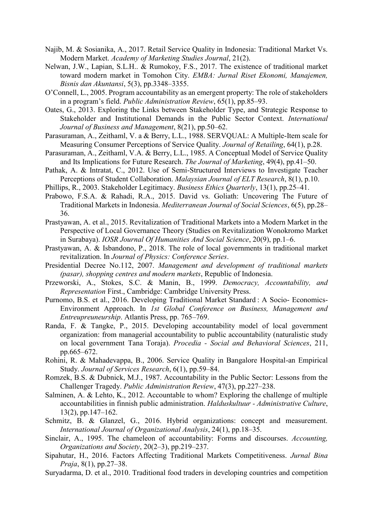- Najib, M. & Sosianika, A., 2017. Retail Service Quality in Indonesia: Traditional Market Vs. Modern Market. *Academy of Marketing Studies Journal*, 21(2).
- Nelwan, J.W., Lapian, S.L.H.. & Rumokoy, F.S., 2017. The existence of traditional market toward modern market in Tomohon City. *EMBA: Jurnal Riset Ekonomi, Manajemen, Bisnis dan Akuntansi*, 5(3), pp.3348–3355.
- O'Connell, L., 2005. Program accountability as an emergent property: The role of stakeholders in a program's field. *Public Administration Review*, 65(1), pp.85–93.
- Oates, G., 2013. Exploring the Links between Stakeholder Type, and Strategic Response to Stakeholder and Institutional Demands in the Public Sector Context. *International Journal of Business and Management*, 8(21), pp.50–62.
- Parasuraman, A., Zeithaml, V. a & Berry, L.L., 1988. SERVQUAL: A Multiple-Item scale for Measuring Consumer Perceptions of Service Quality. *Journal of Retailing*, 64(1), p.28.
- Parasuraman, A., Zeithaml, V.A. & Berry, L.L., 1985. A Conceptual Model of Service Quality and Its Implications for Future Research. *The Journal of Marketing*, 49(4), pp.41–50.
- Pathak, A. & Intratat, C., 2012. Use of Semi-Structured Interviews to Investigate Teacher Perceptions of Student Collaboration. *Malaysian Journal of ELT Research*, 8(1), p.10.
- Phillips, R., 2003. Stakeholder Legitimacy. *Business Ethics Quarterly*, 13(1), pp.25–41.
- Prabowo, F.S.A. & Rahadi, R.A., 2015. David vs. Goliath: Uncovering The Future of Traditional Markets in Indonesia. *Mediterranean Journal of Social Sciences*, 6(5), pp.28– 36.
- Prastyawan, A. et al., 2015. Revitalization of Traditional Markets into a Modern Market in the Perspective of Local Governance Theory (Studies on Revitalization Wonokromo Market in Surabaya). *IOSR Journal Of Humanities And Social Science*, 20(9), pp.1–6.
- Prastyawan, A. & Isbandono, P., 2018. The role of local governments in traditional market revitalization. In *Journal of Physics: Conference Series*.
- Presidential Decree No.112, 2007. *Management and development of traditional markets (pasar), shopping centres and modern markets*, Republic of Indonesia.
- Przeworski, A., Stokes, S.C. & Manin, B., 1999. *Democracy, Accountability, and Representation* First., Cambridge: Cambridge University Press.
- Purnomo, B.S. et al., 2016. Developing Traditional Market Standard : A Socio- Economics-Environment Approach. In *1st Global Conference on Business, Management and Entreupreuneurship*. Atlantis Press, pp. 765–769.
- Randa, F. & Tangke, P., 2015. Developing accountability model of local government organization: from managerial accountability to public accountability (naturalistic study on local government Tana Toraja). *Procedia - Social and Behavioral Sciences*, 211, pp.665–672.
- Rohini, R. & Mahadevappa, B., 2006. Service Quality in Bangalore Hospital-an Empirical Study. *Journal of Services Research*, 6(1), pp.59–84.
- Romzek, B.S. & Dubnick, M.J., 1987. Accountability in the Public Sector: Lessons from the Challenger Tragedy. *Public Administration Review*, 47(3), pp.227–238.
- Salminen, A. & Lehto, K., 2012. Accountable to whom? Exploring the challenge of multiple accountabilities in finnish public administration. *Halduskultuur - Administrative Culture*, 13(2), pp.147–162.
- Schmitz, B. & Glanzel, G., 2016. Hybrid organizations: concept and measurement. *International Journal of Organizational Analysis*, 24(1), pp.18–35.
- Sinclair, A., 1995. The chameleon of accountability: Forms and discourses. *Accounting, Organizations and Society*, 20(2–3), pp.219–237.
- Sipahutar, H., 2016. Factors Affecting Traditional Markets Competitiveness. *Jurnal Bina Praja*, 8(1), pp.27–38.
- Suryadarma, D. et al., 2010. Traditional food traders in developing countries and competition